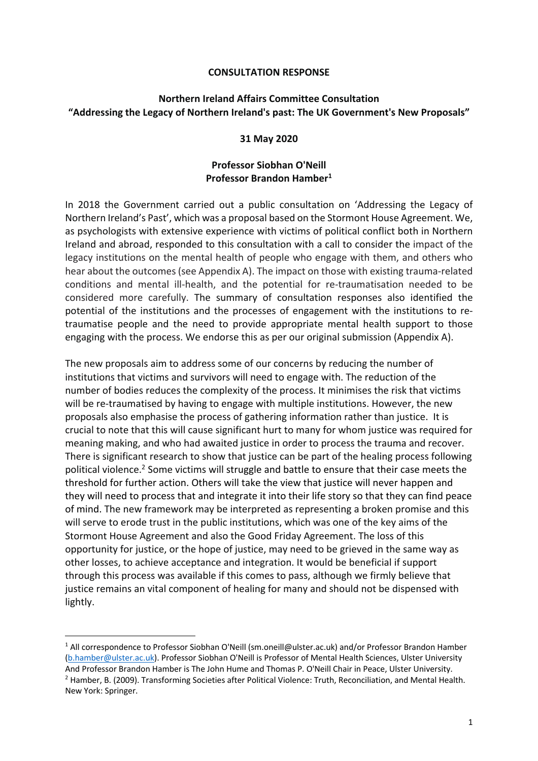#### **CONSULTATION RESPONSE**

## **Northern Ireland Affairs Committee Consultation "Addressing the Legacy of Northern Ireland's past: The UK Government's New Proposals"**

#### **31 May 2020**

#### **Professor Siobhan O'Neill Professor Brandon Hamber1**

In 2018 the Government carried out a public consultation on 'Addressing the Legacy of Northern Ireland's Past', which was a proposal based on the Stormont House Agreement. We, as psychologists with extensive experience with victims of political conflict both in Northern Ireland and abroad, responded to this consultation with a call to consider the impact of the legacy institutions on the mental health of people who engage with them, and others who hear about the outcomes (see Appendix A). The impact on those with existing trauma-related conditions and mental ill-health, and the potential for re-traumatisation needed to be considered more carefully. The summary of consultation responses also identified the potential of the institutions and the processes of engagement with the institutions to retraumatise people and the need to provide appropriate mental health support to those engaging with the process. We endorse this as per our original submission (Appendix A).

The new proposals aim to address some of our concerns by reducing the number of institutions that victims and survivors will need to engage with. The reduction of the number of bodies reduces the complexity of the process. It minimises the risk that victims will be re-traumatised by having to engage with multiple institutions. However, the new proposals also emphasise the process of gathering information rather than justice. It is crucial to note that this will cause significant hurt to many for whom justice was required for meaning making, and who had awaited justice in order to process the trauma and recover. There is significant research to show that justice can be part of the healing process following political violence. <sup>2</sup> Some victims will struggle and battle to ensure that their case meets the threshold for further action. Others will take the view that justice will never happen and they will need to process that and integrate it into their life story so that they can find peace of mind. The new framework may be interpreted as representing a broken promise and this will serve to erode trust in the public institutions, which was one of the key aims of the Stormont House Agreement and also the Good Friday Agreement. The loss of this opportunity for justice, or the hope of justice, may need to be grieved in the same way as other losses, to achieve acceptance and integration. It would be beneficial if support through this process was available if this comes to pass, although we firmly believe that justice remains an vital component of healing for many and should not be dispensed with lightly.

<sup>1</sup> All correspondence to Professor Siobhan O'Neill (sm.oneill@ulster.ac.uk) and/or Professor Brandon Hamber (b.hamber@ulster.ac.uk). Professor Siobhan O'Neill is Professor of Mental Health Sciences, Ulster University And Professor Brandon Hamber is The John Hume and Thomas P. O'Neill Chair in Peace, Ulster University.  $<sup>2</sup>$  Hamber, B. (2009). Transforming Societies after Political Violence: Truth, Reconciliation, and Mental Health.</sup> New York: Springer.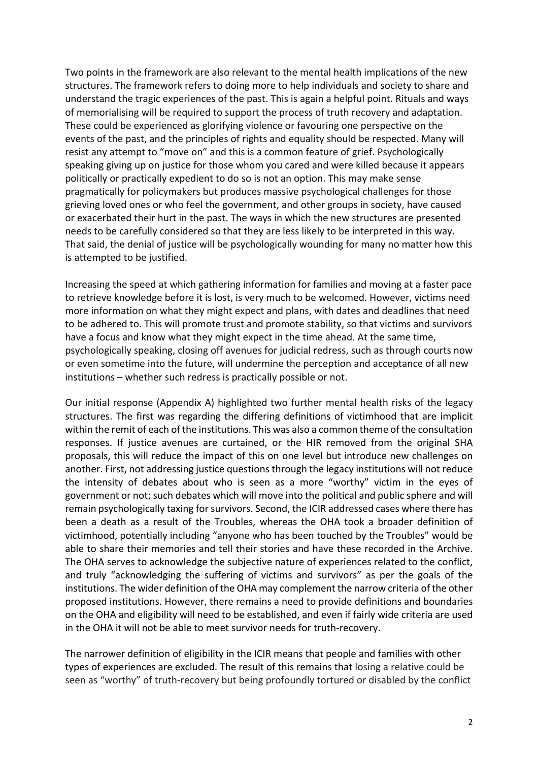Two points in the framework are also relevant to the mental health implications of the new structures. The framework refers to doing more to help individuals and society to share and understand the tragic experiences of the past. This is again a helpful point. Rituals and ways of memorialising will be required to support the process of truth recovery and adaptation. These could be experienced as glorifying violence or favouring one perspective on the events of the past, and the principles of rights and equality should be respected. Many will resist any attempt to "move on" and this is a common feature of grief. Psychologically speaking giving up on justice for those whom you cared and were killed because it appears politically or practically expedient to do so is not an option. This may make sense pragmatically for policymakers but produces massive psychological challenges for those grieving loved ones or who feel the government, and other groups in society, have caused or exacerbated their hurt in the past. The ways in which the new structures are presented needs to be carefully considered so that they are less likely to be interpreted in this way. That said, the denial of justice will be psychologically wounding for many no matter how this is attempted to be justified.

Increasing the speed at which gathering information for families and moving at a faster pace to retrieve knowledge before it is lost, is very much to be welcomed. However, victims need more information on what they might expect and plans, with dates and deadlines that need to be adhered to. This will promote trust and promote stability, so that victims and survivors have a focus and know what they might expect in the time ahead. At the same time, psychologically speaking, closing off avenues for judicial redress, such as through courts now or even sometime into the future, will undermine the perception and acceptance of all new institutions – whether such redress is practically possible or not.

Our initial response (Appendix A) highlighted two further mental health risks of the legacy structures. The first was regarding the differing definitions of victimhood that are implicit within the remit of each of the institutions. This was also a common theme of the consultation responses. If justice avenues are curtained, or the HIR removed from the original SHA proposals, this will reduce the impact of this on one level but introduce new challenges on another. First, not addressing justice questions through the legacy institutions will not reduce the intensity of debates about who is seen as a more "worthy" victim in the eyes of government or not; such debates which will move into the political and public sphere and will remain psychologically taxing for survivors. Second, the ICIR addressed cases where there has been a death as a result of the Troubles, whereas the OHA took a broader definition of victimhood, potentially including "anyone who has been touched by the Troubles" would be able to share their memories and tell their stories and have these recorded in the Archive. The OHA serves to acknowledge the subjective nature of experiences related to the conflict, and truly "acknowledging the suffering of victims and survivors" as per the goals of the institutions. The wider definition of the OHA may complement the narrow criteria of the other proposed institutions. However, there remains a need to provide definitions and boundaries on the OHA and eligibility will need to be established, and even if fairly wide criteria are used in the OHA it will not be able to meet survivor needs for truth-recovery.

The narrower definition of eligibility in the ICIR means that people and families with other types of experiences are excluded. The result of this remains that losing a relative could be seen as "worthy" of truth-recovery but being profoundly tortured or disabled by the conflict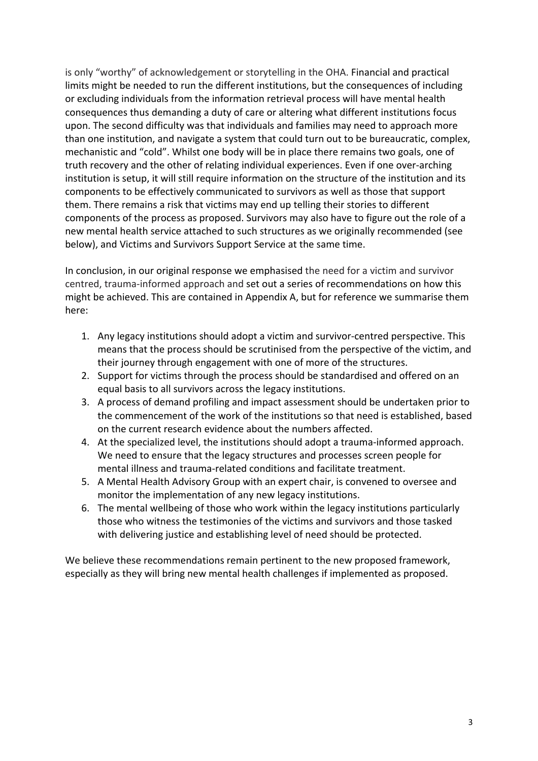is only "worthy" of acknowledgement or storytelling in the OHA. Financial and practical limits might be needed to run the different institutions, but the consequences of including or excluding individuals from the information retrieval process will have mental health consequences thus demanding a duty of care or altering what different institutions focus upon. The second difficulty was that individuals and families may need to approach more than one institution, and navigate a system that could turn out to be bureaucratic, complex, mechanistic and "cold". Whilst one body will be in place there remains two goals, one of truth recovery and the other of relating individual experiences. Even if one over-arching institution is setup, it will still require information on the structure of the institution and its components to be effectively communicated to survivors as well as those that support them. There remains a risk that victims may end up telling their stories to different components of the process as proposed. Survivors may also have to figure out the role of a new mental health service attached to such structures as we originally recommended (see below), and Victims and Survivors Support Service at the same time.

In conclusion, in our original response we emphasised the need for a victim and survivor centred, trauma-informed approach and set out a series of recommendations on how this might be achieved. This are contained in Appendix A, but for reference we summarise them here:

- 1. Any legacy institutions should adopt a victim and survivor-centred perspective. This means that the process should be scrutinised from the perspective of the victim, and their journey through engagement with one of more of the structures.
- 2. Support for victims through the process should be standardised and offered on an equal basis to all survivors across the legacy institutions.
- 3. A process of demand profiling and impact assessment should be undertaken prior to the commencement of the work of the institutions so that need is established, based on the current research evidence about the numbers affected.
- 4. At the specialized level, the institutions should adopt a trauma-informed approach. We need to ensure that the legacy structures and processes screen people for mental illness and trauma-related conditions and facilitate treatment.
- 5. A Mental Health Advisory Group with an expert chair, is convened to oversee and monitor the implementation of any new legacy institutions.
- 6. The mental wellbeing of those who work within the legacy institutions particularly those who witness the testimonies of the victims and survivors and those tasked with delivering justice and establishing level of need should be protected.

We believe these recommendations remain pertinent to the new proposed framework, especially as they will bring new mental health challenges if implemented as proposed.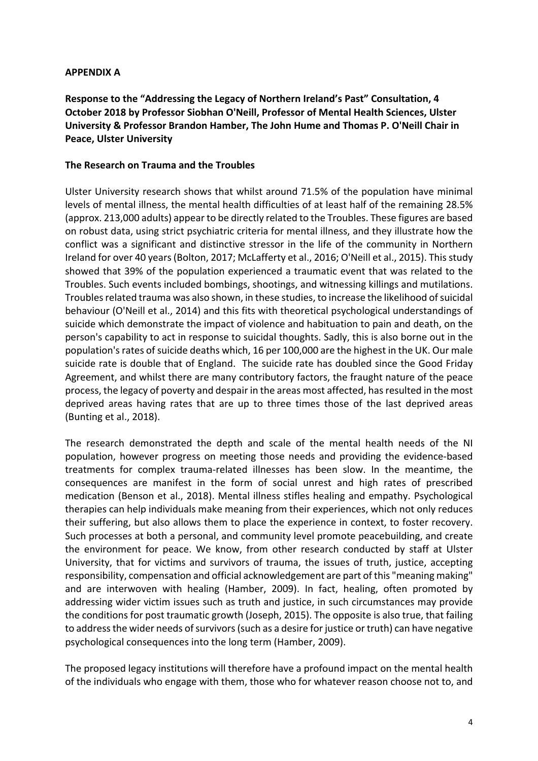### **APPENDIX A**

**Response to the "Addressing the Legacy of Northern Ireland's Past" Consultation, 4 October 2018 by Professor Siobhan O'Neill, Professor of Mental Health Sciences, Ulster University & Professor Brandon Hamber, The John Hume and Thomas P. O'Neill Chair in Peace, Ulster University**

### **The Research on Trauma and the Troubles**

Ulster University research shows that whilst around 71.5% of the population have minimal levels of mental illness, the mental health difficulties of at least half of the remaining 28.5% (approx. 213,000 adults) appear to be directly related to the Troubles. These figures are based on robust data, using strict psychiatric criteria for mental illness, and they illustrate how the conflict was a significant and distinctive stressor in the life of the community in Northern Ireland for over 40 years (Bolton, 2017; McLafferty et al., 2016; O'Neill et al., 2015). This study showed that 39% of the population experienced a traumatic event that was related to the Troubles. Such events included bombings, shootings, and witnessing killings and mutilations. Troubles related trauma was also shown, in these studies, to increase the likelihood of suicidal behaviour (O'Neill et al., 2014) and this fits with theoretical psychological understandings of suicide which demonstrate the impact of violence and habituation to pain and death, on the person's capability to act in response to suicidal thoughts. Sadly, this is also borne out in the population's rates of suicide deaths which, 16 per 100,000 are the highest in the UK. Our male suicide rate is double that of England. The suicide rate has doubled since the Good Friday Agreement, and whilst there are many contributory factors, the fraught nature of the peace process, the legacy of poverty and despair in the areas most affected, has resulted in the most deprived areas having rates that are up to three times those of the last deprived areas (Bunting et al., 2018).

The research demonstrated the depth and scale of the mental health needs of the NI population, however progress on meeting those needs and providing the evidence-based treatments for complex trauma-related illnesses has been slow. In the meantime, the consequences are manifest in the form of social unrest and high rates of prescribed medication (Benson et al., 2018). Mental illness stifles healing and empathy. Psychological therapies can help individuals make meaning from their experiences, which not only reduces their suffering, but also allows them to place the experience in context, to foster recovery. Such processes at both a personal, and community level promote peacebuilding, and create the environment for peace. We know, from other research conducted by staff at Ulster University, that for victims and survivors of trauma, the issues of truth, justice, accepting responsibility, compensation and official acknowledgement are part of this "meaning making" and are interwoven with healing (Hamber, 2009). In fact, healing, often promoted by addressing wider victim issues such as truth and justice, in such circumstances may provide the conditions for post traumatic growth (Joseph, 2015). The opposite is also true, that failing to address the wider needs of survivors (such as a desire for justice or truth) can have negative psychological consequences into the long term (Hamber, 2009).

The proposed legacy institutions will therefore have a profound impact on the mental health of the individuals who engage with them, those who for whatever reason choose not to, and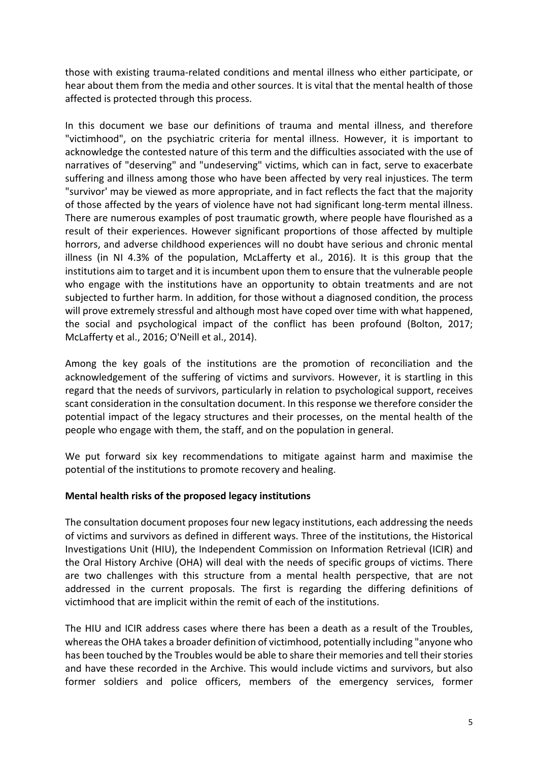those with existing trauma-related conditions and mental illness who either participate, or hear about them from the media and other sources. It is vital that the mental health of those affected is protected through this process.

In this document we base our definitions of trauma and mental illness, and therefore "victimhood", on the psychiatric criteria for mental illness. However, it is important to acknowledge the contested nature of this term and the difficulties associated with the use of narratives of "deserving" and "undeserving" victims, which can in fact, serve to exacerbate suffering and illness among those who have been affected by very real injustices. The term "survivor' may be viewed as more appropriate, and in fact reflects the fact that the majority of those affected by the years of violence have not had significant long-term mental illness. There are numerous examples of post traumatic growth, where people have flourished as a result of their experiences. However significant proportions of those affected by multiple horrors, and adverse childhood experiences will no doubt have serious and chronic mental illness (in NI 4.3% of the population, McLafferty et al., 2016). It is this group that the institutions aim to target and it is incumbent upon them to ensure that the vulnerable people who engage with the institutions have an opportunity to obtain treatments and are not subjected to further harm. In addition, for those without a diagnosed condition, the process will prove extremely stressful and although most have coped over time with what happened, the social and psychological impact of the conflict has been profound (Bolton, 2017; McLafferty et al., 2016; O'Neill et al., 2014).

Among the key goals of the institutions are the promotion of reconciliation and the acknowledgement of the suffering of victims and survivors. However, it is startling in this regard that the needs of survivors, particularly in relation to psychological support, receives scant consideration in the consultation document. In this response we therefore consider the potential impact of the legacy structures and their processes, on the mental health of the people who engage with them, the staff, and on the population in general.

We put forward six key recommendations to mitigate against harm and maximise the potential of the institutions to promote recovery and healing.

#### **Mental health risks of the proposed legacy institutions**

The consultation document proposes four new legacy institutions, each addressing the needs of victims and survivors as defined in different ways. Three of the institutions, the Historical Investigations Unit (HIU), the Independent Commission on Information Retrieval (ICIR) and the Oral History Archive (OHA) will deal with the needs of specific groups of victims. There are two challenges with this structure from a mental health perspective, that are not addressed in the current proposals. The first is regarding the differing definitions of victimhood that are implicit within the remit of each of the institutions.

The HIU and ICIR address cases where there has been a death as a result of the Troubles, whereas the OHA takes a broader definition of victimhood, potentially including "anyone who has been touched by the Troubles would be able to share their memories and tell their stories and have these recorded in the Archive. This would include victims and survivors, but also former soldiers and police officers, members of the emergency services, former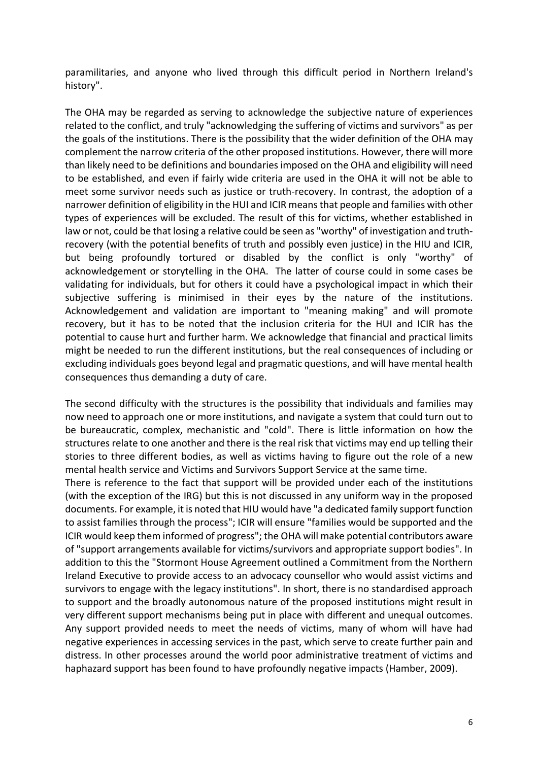paramilitaries, and anyone who lived through this difficult period in Northern Ireland's history".

The OHA may be regarded as serving to acknowledge the subjective nature of experiences related to the conflict, and truly "acknowledging the suffering of victims and survivors" as per the goals of the institutions. There is the possibility that the wider definition of the OHA may complement the narrow criteria of the other proposed institutions. However, there will more than likely need to be definitions and boundaries imposed on the OHA and eligibility will need to be established, and even if fairly wide criteria are used in the OHA it will not be able to meet some survivor needs such as justice or truth-recovery. In contrast, the adoption of a narrower definition of eligibility in the HUI and ICIR means that people and families with other types of experiences will be excluded. The result of this for victims, whether established in law or not, could be that losing a relative could be seen as "worthy" of investigation and truthrecovery (with the potential benefits of truth and possibly even justice) in the HIU and ICIR, but being profoundly tortured or disabled by the conflict is only "worthy" of acknowledgement or storytelling in the OHA. The latter of course could in some cases be validating for individuals, but for others it could have a psychological impact in which their subjective suffering is minimised in their eyes by the nature of the institutions. Acknowledgement and validation are important to "meaning making" and will promote recovery, but it has to be noted that the inclusion criteria for the HUI and ICIR has the potential to cause hurt and further harm. We acknowledge that financial and practical limits might be needed to run the different institutions, but the real consequences of including or excluding individuals goes beyond legal and pragmatic questions, and will have mental health consequences thus demanding a duty of care.

The second difficulty with the structures is the possibility that individuals and families may now need to approach one or more institutions, and navigate a system that could turn out to be bureaucratic, complex, mechanistic and "cold". There is little information on how the structures relate to one another and there is the real risk that victims may end up telling their stories to three different bodies, as well as victims having to figure out the role of a new mental health service and Victims and Survivors Support Service at the same time.

There is reference to the fact that support will be provided under each of the institutions (with the exception of the IRG) but this is not discussed in any uniform way in the proposed documents. For example, it is noted that HIU would have "a dedicated family support function to assist families through the process"; ICIR will ensure "families would be supported and the ICIR would keep them informed of progress"; the OHA will make potential contributors aware of "support arrangements available for victims/survivors and appropriate support bodies". In addition to this the "Stormont House Agreement outlined a Commitment from the Northern Ireland Executive to provide access to an advocacy counsellor who would assist victims and survivors to engage with the legacy institutions". In short, there is no standardised approach to support and the broadly autonomous nature of the proposed institutions might result in very different support mechanisms being put in place with different and unequal outcomes. Any support provided needs to meet the needs of victims, many of whom will have had negative experiences in accessing services in the past, which serve to create further pain and distress. In other processes around the world poor administrative treatment of victims and haphazard support has been found to have profoundly negative impacts (Hamber, 2009).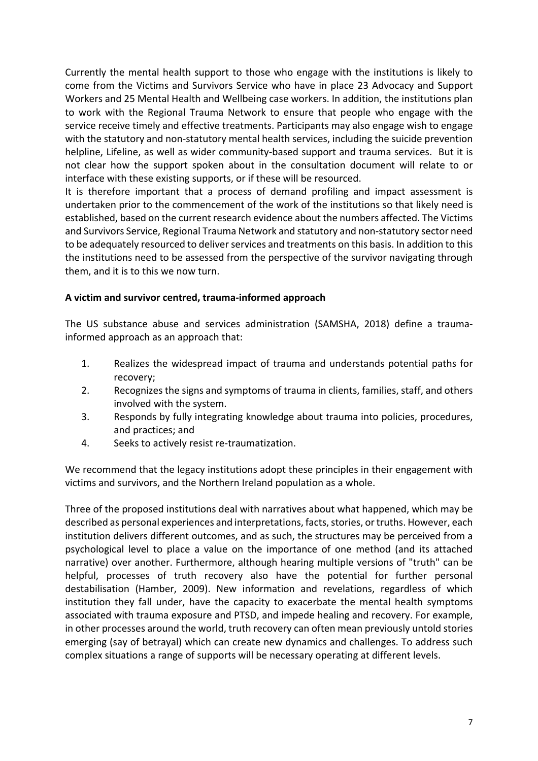Currently the mental health support to those who engage with the institutions is likely to come from the Victims and Survivors Service who have in place 23 Advocacy and Support Workers and 25 Mental Health and Wellbeing case workers. In addition, the institutions plan to work with the Regional Trauma Network to ensure that people who engage with the service receive timely and effective treatments. Participants may also engage wish to engage with the statutory and non-statutory mental health services, including the suicide prevention helpline, Lifeline, as well as wider community-based support and trauma services. But it is not clear how the support spoken about in the consultation document will relate to or interface with these existing supports, or if these will be resourced.

It is therefore important that a process of demand profiling and impact assessment is undertaken prior to the commencement of the work of the institutions so that likely need is established, based on the current research evidence about the numbers affected. The Victims and Survivors Service, Regional Trauma Network and statutory and non-statutory sector need to be adequately resourced to deliver services and treatments on this basis. In addition to this the institutions need to be assessed from the perspective of the survivor navigating through them, and it is to this we now turn.

## **A victim and survivor centred, trauma-informed approach**

The US substance abuse and services administration (SAMSHA, 2018) define a traumainformed approach as an approach that:

- 1. Realizes the widespread impact of trauma and understands potential paths for recovery;
- 2. Recognizes the signs and symptoms of trauma in clients, families, staff, and others involved with the system.
- 3. Responds by fully integrating knowledge about trauma into policies, procedures, and practices; and
- 4. Seeks to actively resist re-traumatization.

We recommend that the legacy institutions adopt these principles in their engagement with victims and survivors, and the Northern Ireland population as a whole.

Three of the proposed institutions deal with narratives about what happened, which may be described as personal experiences and interpretations, facts, stories, or truths. However, each institution delivers different outcomes, and as such, the structures may be perceived from a psychological level to place a value on the importance of one method (and its attached narrative) over another. Furthermore, although hearing multiple versions of "truth" can be helpful, processes of truth recovery also have the potential for further personal destabilisation (Hamber, 2009). New information and revelations, regardless of which institution they fall under, have the capacity to exacerbate the mental health symptoms associated with trauma exposure and PTSD, and impede healing and recovery. For example, in other processes around the world, truth recovery can often mean previously untold stories emerging (say of betrayal) which can create new dynamics and challenges. To address such complex situations a range of supports will be necessary operating at different levels.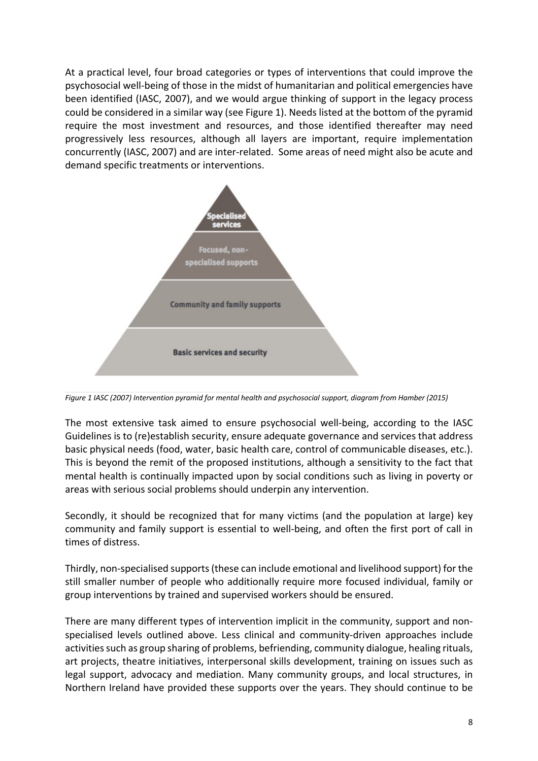At a practical level, four broad categories or types of interventions that could improve the psychosocial well-being of those in the midst of humanitarian and political emergencies have been identified (IASC, 2007), and we would argue thinking of support in the legacy process could be considered in a similar way (see Figure 1). Needs listed at the bottom of the pyramid require the most investment and resources, and those identified thereafter may need progressively less resources, although all layers are important, require implementation concurrently (IASC, 2007) and are inter-related. Some areas of need might also be acute and demand specific treatments or interventions.



*Figure 1 IASC (2007) Intervention pyramid for mental health and psychosocial support, diagram from Hamber (2015)*

The most extensive task aimed to ensure psychosocial well-being, according to the IASC Guidelines is to (re)establish security, ensure adequate governance and services that address basic physical needs (food, water, basic health care, control of communicable diseases, etc.). This is beyond the remit of the proposed institutions, although a sensitivity to the fact that mental health is continually impacted upon by social conditions such as living in poverty or areas with serious social problems should underpin any intervention.

Secondly, it should be recognized that for many victims (and the population at large) key community and family support is essential to well-being, and often the first port of call in times of distress.

Thirdly, non-specialised supports (these can include emotional and livelihood support) for the still smaller number of people who additionally require more focused individual, family or group interventions by trained and supervised workers should be ensured.

There are many different types of intervention implicit in the community, support and nonspecialised levels outlined above. Less clinical and community-driven approaches include activities such as group sharing of problems, befriending, community dialogue, healing rituals, art projects, theatre initiatives, interpersonal skills development, training on issues such as legal support, advocacy and mediation. Many community groups, and local structures, in Northern Ireland have provided these supports over the years. They should continue to be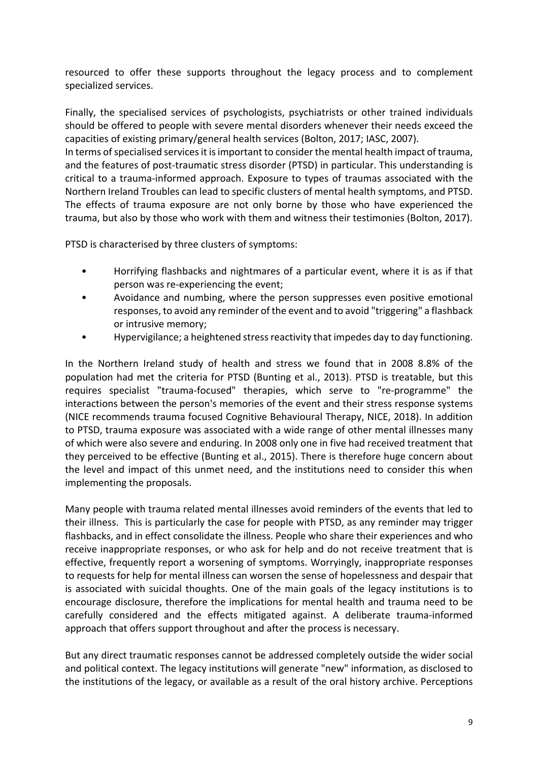resourced to offer these supports throughout the legacy process and to complement specialized services.

Finally, the specialised services of psychologists, psychiatrists or other trained individuals should be offered to people with severe mental disorders whenever their needs exceed the capacities of existing primary/general health services (Bolton, 2017; IASC, 2007).

In terms of specialised services it is important to consider the mental health impact of trauma, and the features of post-traumatic stress disorder (PTSD) in particular. This understanding is critical to a trauma-informed approach. Exposure to types of traumas associated with the Northern Ireland Troubles can lead to specific clusters of mental health symptoms, and PTSD. The effects of trauma exposure are not only borne by those who have experienced the trauma, but also by those who work with them and witness their testimonies (Bolton, 2017).

PTSD is characterised by three clusters of symptoms:

- Horrifying flashbacks and nightmares of a particular event, where it is as if that person was re-experiencing the event;
- Avoidance and numbing, where the person suppresses even positive emotional responses, to avoid any reminder of the event and to avoid "triggering" a flashback or intrusive memory;
- Hypervigilance; a heightened stress reactivity that impedes day to day functioning.

In the Northern Ireland study of health and stress we found that in 2008 8.8% of the population had met the criteria for PTSD (Bunting et al., 2013). PTSD is treatable, but this requires specialist "trauma-focused" therapies, which serve to "re-programme" the interactions between the person's memories of the event and their stress response systems (NICE recommends trauma focused Cognitive Behavioural Therapy, NICE, 2018). In addition to PTSD, trauma exposure was associated with a wide range of other mental illnesses many of which were also severe and enduring. In 2008 only one in five had received treatment that they perceived to be effective (Bunting et al., 2015). There is therefore huge concern about the level and impact of this unmet need, and the institutions need to consider this when implementing the proposals.

Many people with trauma related mental illnesses avoid reminders of the events that led to their illness. This is particularly the case for people with PTSD, as any reminder may trigger flashbacks, and in effect consolidate the illness. People who share their experiences and who receive inappropriate responses, or who ask for help and do not receive treatment that is effective, frequently report a worsening of symptoms. Worryingly, inappropriate responses to requests for help for mental illness can worsen the sense of hopelessness and despair that is associated with suicidal thoughts. One of the main goals of the legacy institutions is to encourage disclosure, therefore the implications for mental health and trauma need to be carefully considered and the effects mitigated against. A deliberate trauma-informed approach that offers support throughout and after the process is necessary.

But any direct traumatic responses cannot be addressed completely outside the wider social and political context. The legacy institutions will generate "new" information, as disclosed to the institutions of the legacy, or available as a result of the oral history archive. Perceptions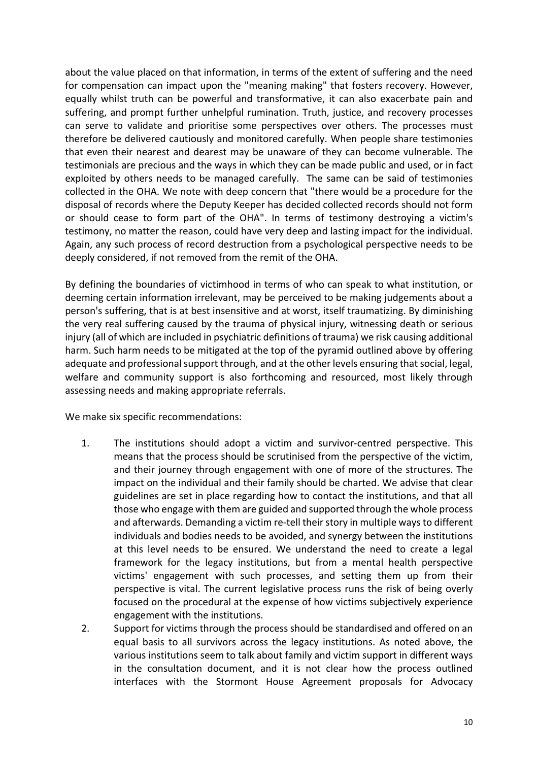about the value placed on that information, in terms of the extent of suffering and the need for compensation can impact upon the "meaning making" that fosters recovery. However, equally whilst truth can be powerful and transformative, it can also exacerbate pain and suffering, and prompt further unhelpful rumination. Truth, justice, and recovery processes can serve to validate and prioritise some perspectives over others. The processes must therefore be delivered cautiously and monitored carefully. When people share testimonies that even their nearest and dearest may be unaware of they can become vulnerable. The testimonials are precious and the ways in which they can be made public and used, or in fact exploited by others needs to be managed carefully. The same can be said of testimonies collected in the OHA. We note with deep concern that "there would be a procedure for the disposal of records where the Deputy Keeper has decided collected records should not form or should cease to form part of the OHA". In terms of testimony destroying a victim's testimony, no matter the reason, could have very deep and lasting impact for the individual. Again, any such process of record destruction from a psychological perspective needs to be deeply considered, if not removed from the remit of the OHA.

By defining the boundaries of victimhood in terms of who can speak to what institution, or deeming certain information irrelevant, may be perceived to be making judgements about a person's suffering, that is at best insensitive and at worst, itself traumatizing. By diminishing the very real suffering caused by the trauma of physical injury, witnessing death or serious injury (all of which are included in psychiatric definitions of trauma) we risk causing additional harm. Such harm needs to be mitigated at the top of the pyramid outlined above by offering adequate and professional support through, and at the other levels ensuring that social, legal, welfare and community support is also forthcoming and resourced, most likely through assessing needs and making appropriate referrals.

We make six specific recommendations:

- 1. The institutions should adopt a victim and survivor-centred perspective. This means that the process should be scrutinised from the perspective of the victim, and their journey through engagement with one of more of the structures. The impact on the individual and their family should be charted. We advise that clear guidelines are set in place regarding how to contact the institutions, and that all those who engage with them are guided and supported through the whole process and afterwards. Demanding a victim re-tell their story in multiple ways to different individuals and bodies needs to be avoided, and synergy between the institutions at this level needs to be ensured. We understand the need to create a legal framework for the legacy institutions, but from a mental health perspective victims' engagement with such processes, and setting them up from their perspective is vital. The current legislative process runs the risk of being overly focused on the procedural at the expense of how victims subjectively experience engagement with the institutions.
- 2. Support for victims through the process should be standardised and offered on an equal basis to all survivors across the legacy institutions. As noted above, the various institutions seem to talk about family and victim support in different ways in the consultation document, and it is not clear how the process outlined interfaces with the Stormont House Agreement proposals for Advocacy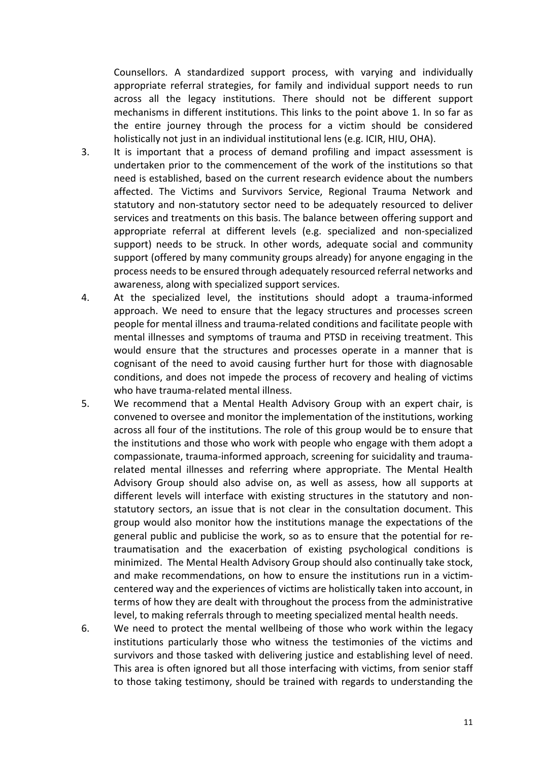Counsellors. A standardized support process, with varying and individually appropriate referral strategies, for family and individual support needs to run across all the legacy institutions. There should not be different support mechanisms in different institutions. This links to the point above 1. In so far as the entire journey through the process for a victim should be considered holistically not just in an individual institutional lens (e.g. ICIR, HIU, OHA).

- 3. It is important that a process of demand profiling and impact assessment is undertaken prior to the commencement of the work of the institutions so that need is established, based on the current research evidence about the numbers affected. The Victims and Survivors Service, Regional Trauma Network and statutory and non-statutory sector need to be adequately resourced to deliver services and treatments on this basis. The balance between offering support and appropriate referral at different levels (e.g. specialized and non-specialized support) needs to be struck. In other words, adequate social and community support (offered by many community groups already) for anyone engaging in the process needs to be ensured through adequately resourced referral networks and awareness, along with specialized support services.
- 4. At the specialized level, the institutions should adopt a trauma-informed approach. We need to ensure that the legacy structures and processes screen people for mental illness and trauma-related conditions and facilitate people with mental illnesses and symptoms of trauma and PTSD in receiving treatment. This would ensure that the structures and processes operate in a manner that is cognisant of the need to avoid causing further hurt for those with diagnosable conditions, and does not impede the process of recovery and healing of victims who have trauma-related mental illness.
- 5. We recommend that a Mental Health Advisory Group with an expert chair, is convened to oversee and monitor the implementation of the institutions, working across all four of the institutions. The role of this group would be to ensure that the institutions and those who work with people who engage with them adopt a compassionate, trauma-informed approach, screening for suicidality and traumarelated mental illnesses and referring where appropriate. The Mental Health Advisory Group should also advise on, as well as assess, how all supports at different levels will interface with existing structures in the statutory and nonstatutory sectors, an issue that is not clear in the consultation document. This group would also monitor how the institutions manage the expectations of the general public and publicise the work, so as to ensure that the potential for retraumatisation and the exacerbation of existing psychological conditions is minimized. The Mental Health Advisory Group should also continually take stock, and make recommendations, on how to ensure the institutions run in a victimcentered way and the experiences of victims are holistically taken into account, in terms of how they are dealt with throughout the process from the administrative level, to making referrals through to meeting specialized mental health needs.
- 6. We need to protect the mental wellbeing of those who work within the legacy institutions particularly those who witness the testimonies of the victims and survivors and those tasked with delivering justice and establishing level of need. This area is often ignored but all those interfacing with victims, from senior staff to those taking testimony, should be trained with regards to understanding the